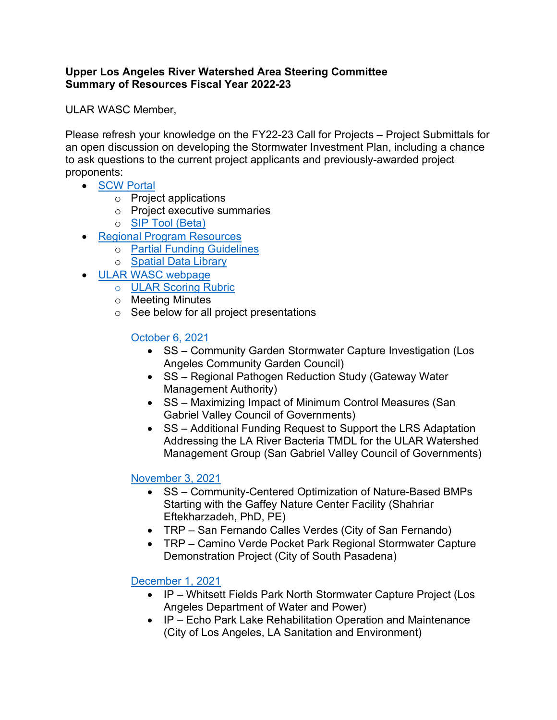### **Upper Los Angeles River Watershed Area Steering Committee Summary of Resources Fiscal Year 2022-23**

ULAR WASC Member,

Please refresh your knowledge on the FY22-23 Call for Projects – Project Submittals for an open discussion on developing the Stormwater Investment Plan, including a chance to ask questions to the current project applicants and previously-awarded project proponents:

- [SCW Portal](https://portal.safecleanwaterla.org/scw-reporting/map)
	- o Project applications
	- o Project executive summaries
	- o [SIP Tool \(Beta\)](https://portal.safecleanwaterla.org/sip-tool/)
- [Regional Program Resources](https://safecleanwaterla.org/regional-program-2/)
	- o [Partial Funding Guidelines](https://safecleanwaterla.org/wp-content/uploads/2021/02/Partial-Funding-Guidelines-20210212-final.pdf)
	- o [Spatial Data Library](https://stantec.maps.arcgis.com/apps/webappviewer/index.html?id=35df45808fe6470a8eff1075967c2156)
- [ULAR WASC webpage](https://safecleanwaterla.org/upper-los-angeles-river-watershed-area/)
	- o [ULAR Scoring Rubric](https://safecleanwaterla.org/wp-content/uploads/2022/01/ULAR-WASC-Scoring-Rubric-FY22-23.pdf)
	- o Meeting Minutes
	- o See below for all project presentations

# [October 6, 2021](https://safecleanwaterla.org/wp-content/uploads/2021/10/20211006-ULAR-Presentations.pdf)

- SS Community Garden Stormwater Capture Investigation (Los Angeles Community Garden Council)
- SS Regional Pathogen Reduction Study (Gateway Water Management Authority)
- SS Maximizing Impact of Minimum Control Measures (San Gabriel Valley Council of Governments)
- SS Additional Funding Request to Support the LRS Adaptation Addressing the LA River Bacteria TMDL for the ULAR Watershed Management Group (San Gabriel Valley Council of Governments)

# [November](https://safecleanwaterla.org/wp-content/uploads/2021/11/WASC-ULAR-Project-Presentations-20211103.pdf) 3, 2021

- SS Community-Centered Optimization of Nature-Based BMPs Starting with the Gaffey Nature Center Facility (Shahriar Eftekharzadeh, PhD, PE)
- TRP San Fernando Calles Verdes (City of San Fernando)
- TRP Camino Verde Pocket Park Regional Stormwater Capture Demonstration Project (City of South Pasadena)

# [December 1, 2021](https://safecleanwaterla.org/wp-content/uploads/2021/11/20211201-ULAR-Presentations.pdf)

- IP Whitsett Fields Park North Stormwater Capture Project (Los Angeles Department of Water and Power)
- IP Echo Park Lake Rehabilitation Operation and Maintenance (City of Los Angeles, LA Sanitation and Environment)